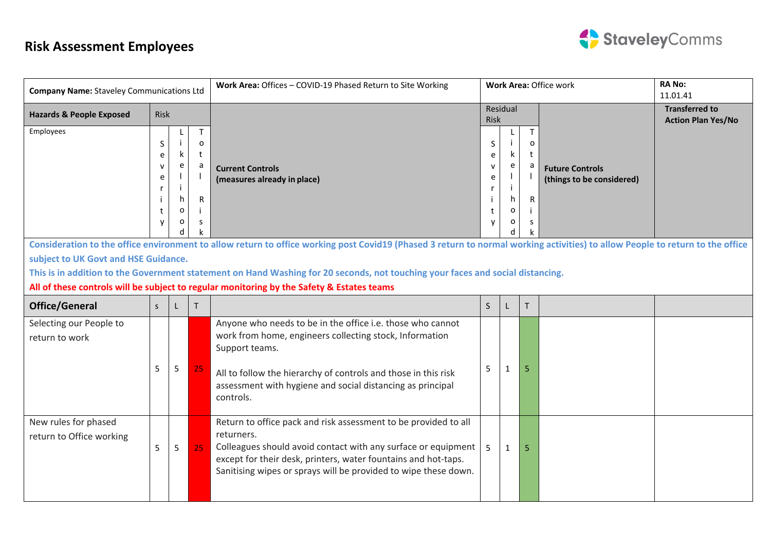

| <b>Company Name: Staveley Communications Ltd</b> |              |                    |                  | Work Area: Offices - COVID-19 Phased Return to Site Working                                                                                                                                                                                                                          | Work Area: Office work     |                    |         |                                                     | <b>RANO:</b><br>11.01.41                           |
|--------------------------------------------------|--------------|--------------------|------------------|--------------------------------------------------------------------------------------------------------------------------------------------------------------------------------------------------------------------------------------------------------------------------------------|----------------------------|--------------------|---------|-----------------------------------------------------|----------------------------------------------------|
| <b>Hazards &amp; People Exposed</b>              | Risk         |                    |                  |                                                                                                                                                                                                                                                                                      | Risk                       | Residual           |         |                                                     | <b>Transferred to</b><br><b>Action Plan Yes/No</b> |
| Employees                                        | S<br>e<br>e  |                    | T<br>o<br>t<br>a | <b>Current Controls</b><br>(measures already in place)                                                                                                                                                                                                                               | S<br>e<br>$\mathbf v$<br>e | k<br>e             | T.<br>O | <b>Future Controls</b><br>(things to be considered) |                                                    |
|                                                  |              | h<br>$\Omega$<br>o | ${\sf R}$<br>S   |                                                                                                                                                                                                                                                                                      |                            | h<br>o<br>$\Omega$ | R<br>S  |                                                     |                                                    |
|                                                  |              |                    |                  | Consideration to the office environment to allow return to office working post Covid19 (Phased 3 return to normal working activities) to allow People to return to the office                                                                                                        |                            |                    |         |                                                     |                                                    |
| subject to UK Govt and HSE Guidance.             |              |                    |                  | This is in addition to the Government statement on Hand Washing for 20 seconds, not touching your faces and social distancing.                                                                                                                                                       |                            |                    |         |                                                     |                                                    |
|                                                  |              |                    |                  | All of these controls will be subject to regular monitoring by the Safety & Estates teams                                                                                                                                                                                            |                            |                    |         |                                                     |                                                    |
| <b>Office/General</b>                            | <sub>S</sub> |                    | т                |                                                                                                                                                                                                                                                                                      | S                          |                    | т       |                                                     |                                                    |
| Selecting our People to<br>return to work        | 5            | 5                  | 25               | Anyone who needs to be in the office i.e. those who cannot<br>work from home, engineers collecting stock, Information<br>Support teams.<br>All to follow the hierarchy of controls and those in this risk<br>assessment with hygiene and social distancing as principal<br>controls. | 5                          |                    | 5       |                                                     |                                                    |
| New rules for phased<br>return to Office working | 5            | 5                  | 25               | Return to office pack and risk assessment to be provided to all<br>returners.<br>Colleagues should avoid contact with any surface or equipment<br>except for their desk, printers, water fountains and hot-taps.<br>Sanitising wipes or sprays will be provided to wipe these down.  | 5                          | $\mathbf{1}$       | 5       |                                                     |                                                    |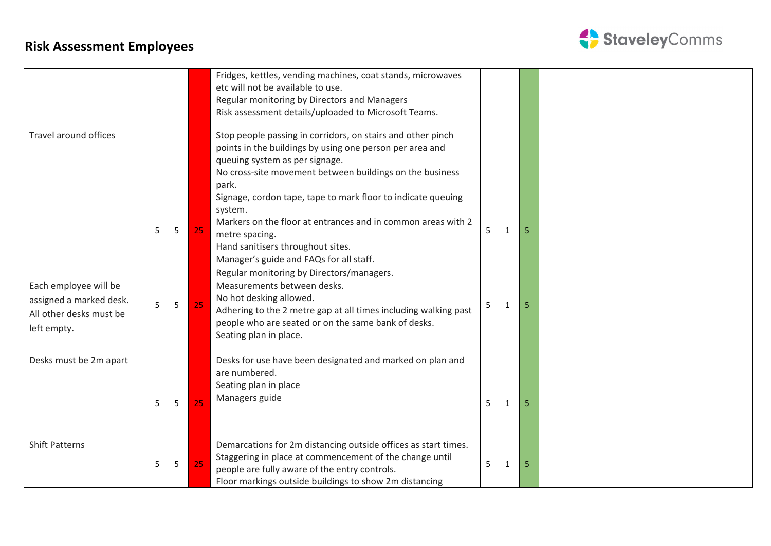

|                                                                                            |   |   |    | Fridges, kettles, vending machines, coat stands, microwaves<br>etc will not be available to use.<br>Regular monitoring by Directors and Managers<br>Risk assessment details/uploaded to Microsoft Teams.                                                                                                                                                                                                                                                                                                                 |   |              |    |  |
|--------------------------------------------------------------------------------------------|---|---|----|--------------------------------------------------------------------------------------------------------------------------------------------------------------------------------------------------------------------------------------------------------------------------------------------------------------------------------------------------------------------------------------------------------------------------------------------------------------------------------------------------------------------------|---|--------------|----|--|
| <b>Travel around offices</b>                                                               | 5 | 5 | 25 | Stop people passing in corridors, on stairs and other pinch<br>points in the buildings by using one person per area and<br>queuing system as per signage.<br>No cross-site movement between buildings on the business<br>park.<br>Signage, cordon tape, tape to mark floor to indicate queuing<br>system.<br>Markers on the floor at entrances and in common areas with 2<br>metre spacing.<br>Hand sanitisers throughout sites.<br>Manager's guide and FAQs for all staff.<br>Regular monitoring by Directors/managers. | 5 | 1            | 5  |  |
| Each employee will be<br>assigned a marked desk.<br>All other desks must be<br>left empty. | 5 | 5 | 25 | Measurements between desks.<br>No hot desking allowed.<br>Adhering to the 2 metre gap at all times including walking past<br>people who are seated or on the same bank of desks.<br>Seating plan in place.                                                                                                                                                                                                                                                                                                               | 5 | 1            | 5  |  |
| Desks must be 2m apart                                                                     | 5 | 5 | 25 | Desks for use have been designated and marked on plan and<br>are numbered.<br>Seating plan in place<br>Managers guide                                                                                                                                                                                                                                                                                                                                                                                                    | 5 | 1            | 5  |  |
| <b>Shift Patterns</b>                                                                      | 5 | 5 | 25 | Demarcations for 2m distancing outside offices as start times.<br>Staggering in place at commencement of the change until<br>people are fully aware of the entry controls.<br>Floor markings outside buildings to show 2m distancing                                                                                                                                                                                                                                                                                     | 5 | $\mathbf{1}$ | -5 |  |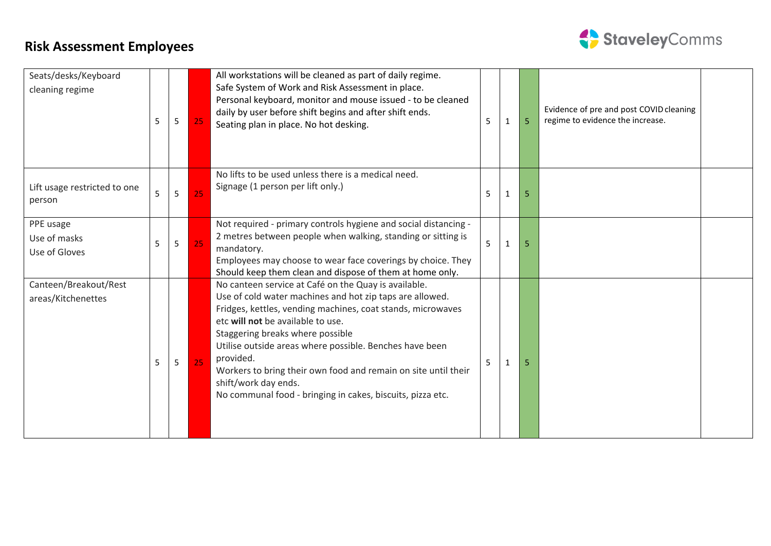

| Seats/desks/Keyboard<br>cleaning regime     | 5 | 5 | 25 | All workstations will be cleaned as part of daily regime.<br>Safe System of Work and Risk Assessment in place.<br>Personal keyboard, monitor and mouse issued - to be cleaned<br>daily by user before shift begins and after shift ends.<br>Seating plan in place. No hot desking.                                                                                                                                                                                                       | 5 | 1 | 5  | Evidence of pre and post COVID cleaning<br>regime to evidence the increase. |
|---------------------------------------------|---|---|----|------------------------------------------------------------------------------------------------------------------------------------------------------------------------------------------------------------------------------------------------------------------------------------------------------------------------------------------------------------------------------------------------------------------------------------------------------------------------------------------|---|---|----|-----------------------------------------------------------------------------|
| Lift usage restricted to one<br>person      | 5 | 5 | 25 | No lifts to be used unless there is a medical need.<br>Signage (1 person per lift only.)                                                                                                                                                                                                                                                                                                                                                                                                 | 5 | 1 | 5  |                                                                             |
| PPE usage<br>Use of masks<br>Use of Gloves  | 5 | 5 | 25 | Not required - primary controls hygiene and social distancing -<br>2 metres between people when walking, standing or sitting is<br>mandatory.<br>Employees may choose to wear face coverings by choice. They<br>Should keep them clean and dispose of them at home only.                                                                                                                                                                                                                 | 5 |   | 5. |                                                                             |
| Canteen/Breakout/Rest<br>areas/Kitchenettes | 5 | 5 | 25 | No canteen service at Café on the Quay is available.<br>Use of cold water machines and hot zip taps are allowed.<br>Fridges, kettles, vending machines, coat stands, microwaves<br>etc will not be available to use.<br>Staggering breaks where possible<br>Utilise outside areas where possible. Benches have been<br>provided.<br>Workers to bring their own food and remain on site until their<br>shift/work day ends.<br>No communal food - bringing in cakes, biscuits, pizza etc. |   |   | 5  |                                                                             |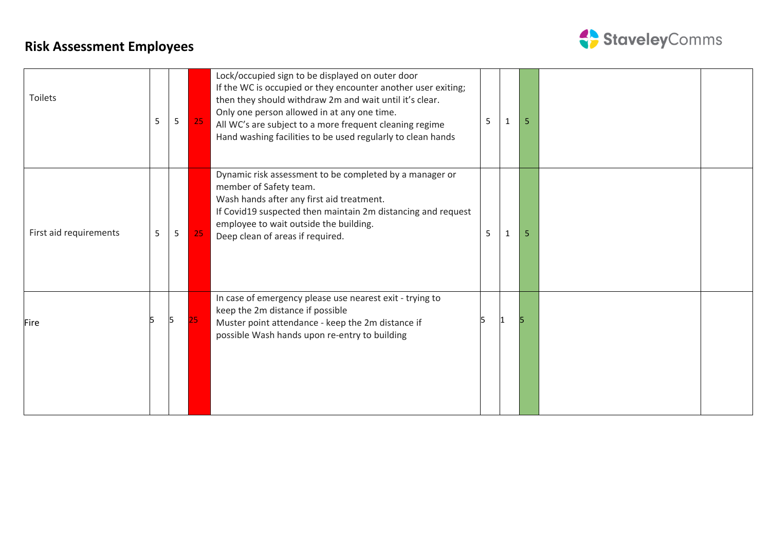

| Toilets                | 5 | 5 | 25 | Lock/occupied sign to be displayed on outer door<br>If the WC is occupied or they encounter another user exiting;<br>then they should withdraw 2m and wait until it's clear.<br>Only one person allowed in at any one time.<br>All WC's are subject to a more frequent cleaning regime<br>Hand washing facilities to be used regularly to clean hands | 5  |   | 5 |  |
|------------------------|---|---|----|-------------------------------------------------------------------------------------------------------------------------------------------------------------------------------------------------------------------------------------------------------------------------------------------------------------------------------------------------------|----|---|---|--|
| First aid requirements | 5 | 5 | 25 | Dynamic risk assessment to be completed by a manager or<br>member of Safety team.<br>Wash hands after any first aid treatment.<br>If Covid19 suspected then maintain 2m distancing and request<br>employee to wait outside the building.<br>Deep clean of areas if required.                                                                          | 5  | 1 | 5 |  |
| <b>Fire</b>            |   |   |    | In case of emergency please use nearest exit - trying to<br>keep the 2m distance if possible<br>Muster point attendance - keep the 2m distance if<br>possible Wash hands upon re-entry to building                                                                                                                                                    | Б. |   |   |  |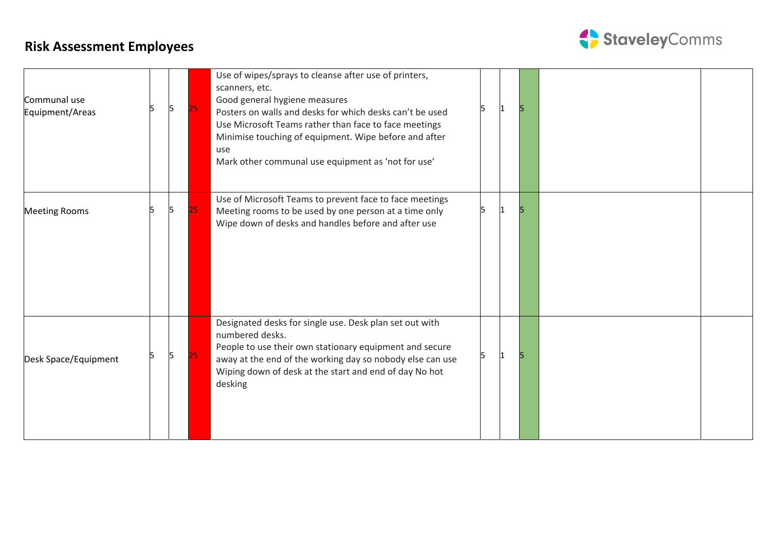

| Communal use<br>Equipment/Areas | 15 | 25  | Use of wipes/sprays to cleanse after use of printers,<br>scanners, etc.<br>Good general hygiene measures<br>Posters on walls and desks for which desks can't be used<br>Use Microsoft Teams rather than face to face meetings<br>Minimise touching of equipment. Wipe before and after<br>use<br>Mark other communal use equipment as 'not for use' |  |  |  |
|---------------------------------|----|-----|-----------------------------------------------------------------------------------------------------------------------------------------------------------------------------------------------------------------------------------------------------------------------------------------------------------------------------------------------------|--|--|--|
| <b>Meeting Rooms</b>            | 15 | 25. | Use of Microsoft Teams to prevent face to face meetings<br>Meeting rooms to be used by one person at a time only<br>Wipe down of desks and handles before and after use                                                                                                                                                                             |  |  |  |
| Desk Space/Equipment            | 15 | 25  | Designated desks for single use. Desk plan set out with<br>numbered desks.<br>People to use their own stationary equipment and secure<br>away at the end of the working day so nobody else can use<br>Wiping down of desk at the start and end of day No hot<br>desking                                                                             |  |  |  |